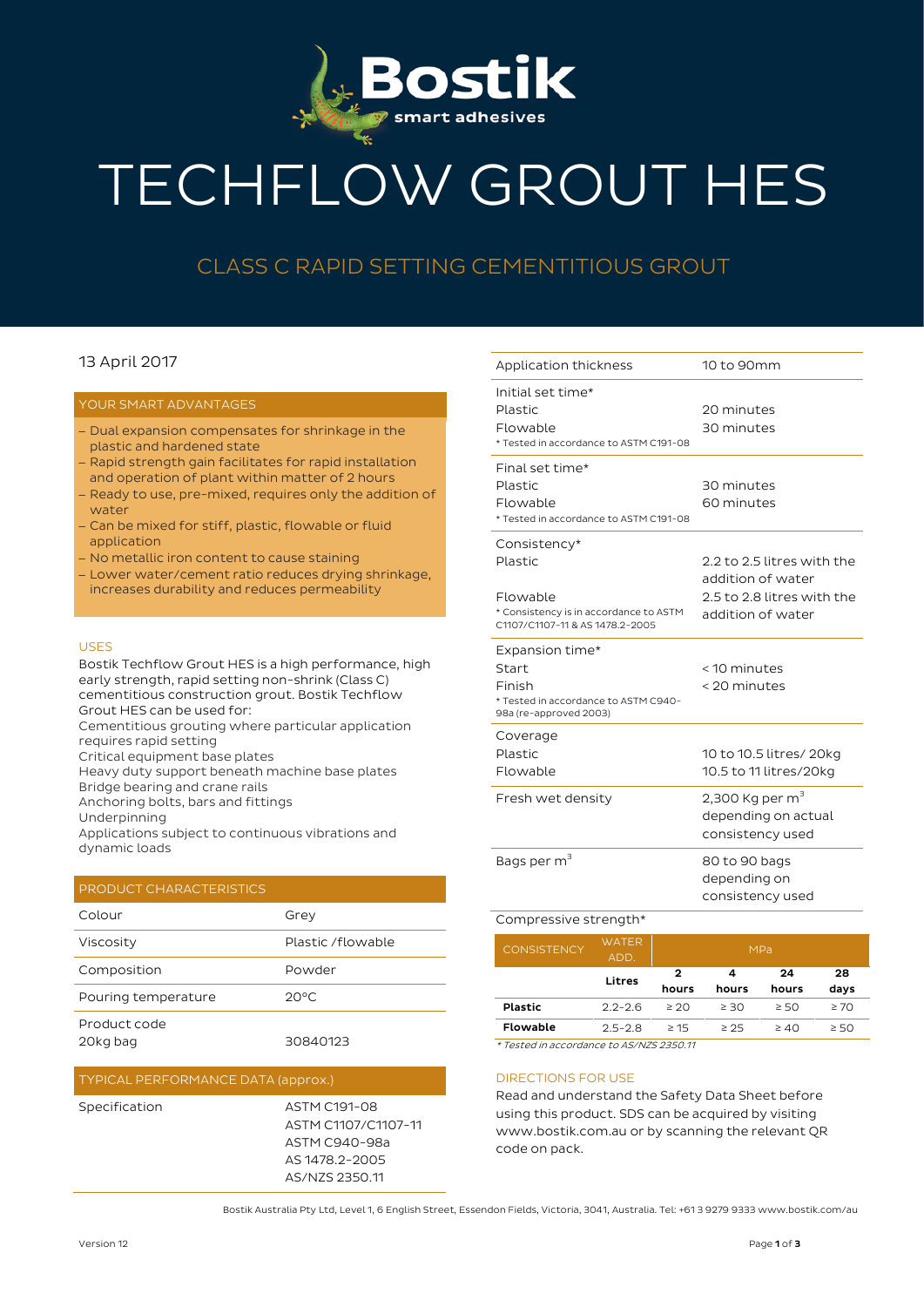

# TECHFLOW GROUT HES

## CLASS C RAPID SETTING CEMENTITIOUS GROUT

### 13 April 2017

#### YOUR SMART ADVANTAGES

- − Dual expansion compensates for shrinkage in the plastic and hardened state
- − Rapid strength gain facilitates for rapid installation and operation of plant within matter of 2 hours
- − Ready to use, pre-mixed, requires only the addition of water
- − Can be mixed for stiff, plastic, flowable or fluid application
- − No metallic iron content to cause staining
- − Lower water/cement ratio reduces drying shrinkage, increases durability and reduces permeability

#### USES

Bostik Techflow Grout HES is a high performance, high early strength, rapid setting non-shrink (Class C) cementitious construction grout. Bostik Techflow Grout HES can be used for:

Cementitious grouting where particular application requires rapid setting

Critical equipment base plates

Heavy duty support beneath machine base plates

Bridge bearing and crane rails

Anchoring bolts, bars and fittings

Underpinning

Applications subject to continuous vibrations and dynamic loads

#### PRODUCT CHARACTERISTICS

| Colour                   | Grey              |  |
|--------------------------|-------------------|--|
| Viscosity                | Plastic /flowable |  |
| Composition              | Powder            |  |
| Pouring temperature      | $20^{\circ}$ C    |  |
| Product code<br>20kg bag | 30840123          |  |

#### TYPICAL PERFORMANCE DATA (approx.)

Specification ASTM C191-08 ASTM C1107/C1107-11 ASTM C940-98a AS 1478.2-2005 AS/NZS 2350.11

| Application thickness                                                                                            | 10 to 90mm                                                                                         |
|------------------------------------------------------------------------------------------------------------------|----------------------------------------------------------------------------------------------------|
| Initial set time*<br>Plastic<br>Flowable<br>* Tested in accordance to ASTM C191-08                               | 20 minutes<br>30 minutes                                                                           |
| Final set time*<br>Plastic<br>Flowable<br>* Tested in accordance to ASTM C191-08                                 | 30 minutes<br>60 minutes                                                                           |
| Consistency*<br>Plastic<br>Flowable<br>* Consistency is in accordance to ASTM<br>C1107/C1107-11 & AS 1478.2-2005 | 2.2 to 2.5 litres with the<br>addition of water<br>2.5 to 2.8 litres with the<br>addition of water |
| Expansion time*<br><b>Start</b>                                                                                  | < 10 minutes                                                                                       |
| Finish<br>* Tested in accordance to ASTM C940-<br>98a (re-approved 2003)                                         | < 20 minutes                                                                                       |
| Coverage<br>Plastic<br>Flowable                                                                                  | 10 to 10.5 litres/ 20kg<br>10.5 to 11 litres/20kg                                                  |
| Fresh wet density                                                                                                | 2,300 Kg per m <sup>3</sup><br>depending on actual<br>consistency used                             |
| Bags per m <sup>3</sup>                                                                                          | 80 to 90 bags<br>depending on<br>consistency used                                                  |

| <b>CONSISTENCY</b> | WATER<br>ADD. | <b>MPa</b> |           |           |           |  |  |
|--------------------|---------------|------------|-----------|-----------|-----------|--|--|
|                    | Litres        | 2          | 4         | 24        | 28        |  |  |
|                    |               | hours      | hours     | hours     | days      |  |  |
| <b>Plastic</b>     | $2.2 - 2.6$   | $\geq 20$  | $\geq$ 30 | $\geq 50$ | $\geq 70$ |  |  |
| Flowable           | $2.5 - 2.8$   | $\geq 15$  | $\geq$ 25 | $\geq 40$ | $\geq 50$ |  |  |

\* Tested in accordance to AS/NZS 2350.11

#### DIRECTIONS FOR USE

Read and understand the Safety Data Sheet before using this product. SDS can be acquired by visiting www.bostik.com.au or by scanning the relevant QR code on pack.

Bostik Australia Pty Ltd, Level 1, 6 English Street, Essendon Fields, Victoria, 3041, Australia. Tel: +61 3 9279 9333 www.bostik.com/au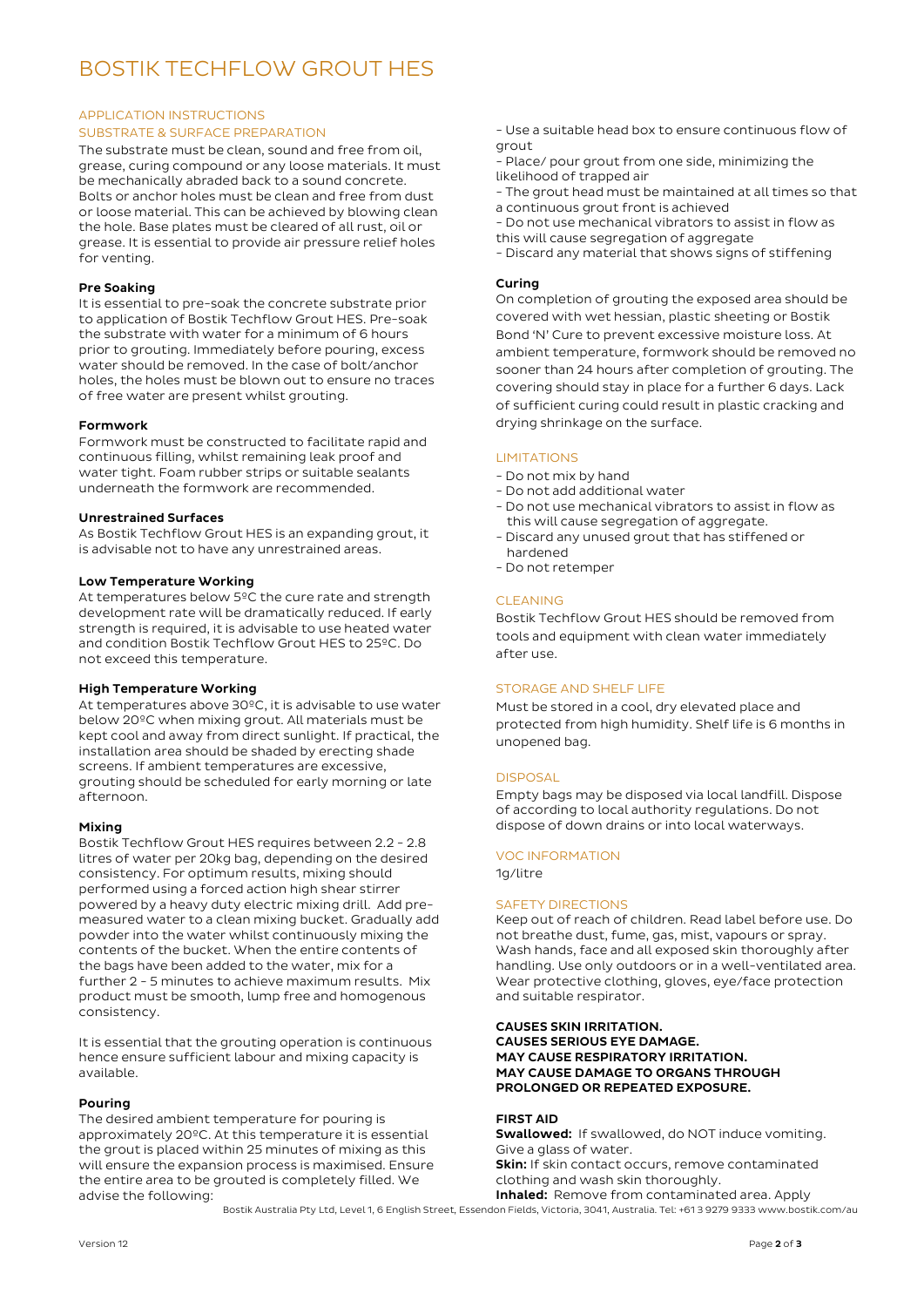## BOSTIK TECHFLOW GROUT HES

#### APPLICATION INSTRUCTIONS SUBSTRATE & SURFACE PREPARATION

The substrate must be clean, sound and free from oil, grease, curing compound or any loose materials. It must be mechanically abraded back to a sound concrete. Bolts or anchor holes must be clean and free from dust or loose material. This can be achieved by blowing clean the hole. Base plates must be cleared of all rust, oil or grease. It is essential to provide air pressure relief holes for venting.

#### Pre Soaking

It is essential to pre-soak the concrete substrate prior to application of Bostik Techflow Grout HES. Pre-soak the substrate with water for a minimum of 6 hours prior to grouting. Immediately before pouring, excess water should be removed. In the case of bolt/anchor holes, the holes must be blown out to ensure no traces of free water are present whilst grouting.

#### Formwork

Formwork must be constructed to facilitate rapid and continuous filling, whilst remaining leak proof and water tight. Foam rubber strips or suitable sealants underneath the formwork are recommended.

#### Unrestrained Surfaces

As Bostik Techflow Grout HES is an expanding grout, it is advisable not to have any unrestrained areas.

#### Low Temperature Working

At temperatures below 5°C the cure rate and strength development rate will be dramatically reduced. If early strength is required, it is advisable to use heated water and condition Bostik Techflow Grout HES to 25ºC. Do not exceed this temperature.

#### High Temperature Working

At temperatures above 30ºC, it is advisable to use water below 20ºC when mixing grout. All materials must be kept cool and away from direct sunlight. If practical, the installation area should be shaded by erecting shade screens. If ambient temperatures are excessive, grouting should be scheduled for early morning or late afternoon.

#### Mixing

Bostik Techflow Grout HES requires between 2.2 - 2.8 litres of water per 20kg bag, depending on the desired consistency. For optimum results, mixing should performed using a forced action high shear stirrer powered by a heavy duty electric mixing drill. Add premeasured water to a clean mixing bucket. Gradually add powder into the water whilst continuously mixing the contents of the bucket. When the entire contents of the bags have been added to the water, mix for a further 2 - 5 minutes to achieve maximum results. Mix product must be smooth, lump free and homogenous consistency.

It is essential that the grouting operation is continuous hence ensure sufficient labour and mixing capacity is available.

#### Pouring

The desired ambient temperature for pouring is approximately 20ºC. At this temperature it is essential the grout is placed within 25 minutes of mixing as this will ensure the expansion process is maximised. Ensure the entire area to be grouted is completely filled. We advise the following:

- Use a suitable head box to ensure continuous flow of grout

- Place/ pour grout from one side, minimizing the likelihood of trapped air

- The grout head must be maintained at all times so that a continuous grout front is achieved

- Do not use mechanical vibrators to assist in flow as this will cause segregation of aggregate

- Discard any material that shows signs of stiffening

#### Curing

On completion of grouting the exposed area should be covered with wet hessian, plastic sheeting or Bostik Bond 'N' Cure to prevent excessive moisture loss. At ambient temperature, formwork should be removed no sooner than 24 hours after completion of grouting. The covering should stay in place for a further 6 days. Lack of sufficient curing could result in plastic cracking and drying shrinkage on the surface.

#### **LIMITATIONS**

- Do not mix by hand
- Do not add additional water
- Do not use mechanical vibrators to assist in flow as this will cause segregation of aggregate.
- Discard any unused grout that has stiffened or hardened
- Do not retemper

#### CLEANING

Bostik Techflow Grout HES should be removed from tools and equipment with clean water immediately after use.

#### STORAGE AND SHELF LIFE

Must be stored in a cool, dry elevated place and protected from high humidity. Shelf life is 6 months in unopened bag.

#### **DISPOSAL**

Empty bags may be disposed via local landfill. Dispose of according to local authority regulations. Do not dispose of down drains or into local waterways.

#### VOC INFORMATION

1g/litre

#### SAFETY DIRECTIONS

Keep out of reach of children. Read label before use. Do not breathe dust, fume, gas, mist, vapours or spray. Wash hands, face and all exposed skin thoroughly after handling. Use only outdoors or in a well-ventilated area. Wear protective clothing, gloves, eye/face protection and suitable respirator.

CAUSES SKIN IRRITATION. CAUSES SERIOUS EYE DAMAGE. MAY CAUSE RESPIRATORY IRRITATION. MAY CAUSE DAMAGE TO ORGANS THROUGH PROLONGED OR REPEATED EXPOSURE.

#### FIRST AID

**Swallowed:** If swallowed, do NOT induce vomiting. Give a glass of water. **Skin:** If skin contact occurs, remove contaminated clothing and wash skin thoroughly. Inhaled: Remove from contaminated area. Apply

Bostik Australia Pty Ltd, Level 1, 6 English Street, Essendon Fields, Victoria, 3041, Australia. Tel: +61 3 9279 9333 www.bostik.com/au